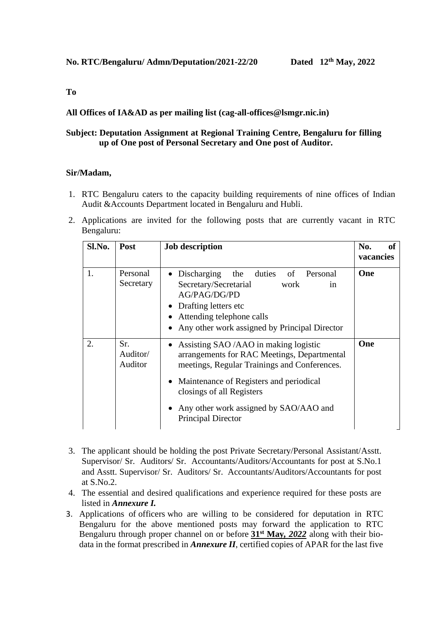### **To**

# **All Offices of IA&AD as per mailing list (cag-all-offices@lsmgr.nic.in)**

# **Subject: Deputation Assignment at Regional Training Centre, Bengaluru for filling up of One post of Personal Secretary and One post of Auditor.**

#### **Sir/Madam,**

- 1. RTC Bengaluru caters to the capacity building requirements of nine offices of Indian Audit &Accounts Department located in Bengaluru and Hubli.
- 2. Applications are invited for the following posts that are currently vacant in RTC Bengaluru:

| Sl.No. | <b>Post</b>                | <b>Job description</b>                                                                                                                                                                                                                                                            | No.<br><b>of</b><br>vacancies |
|--------|----------------------------|-----------------------------------------------------------------------------------------------------------------------------------------------------------------------------------------------------------------------------------------------------------------------------------|-------------------------------|
| 1.     | Personal<br>Secretary      | • Discharging the duties of Personal<br>Secretary/Secretarial<br>work<br>in<br>AG/PAG/DG/PD<br>• Drafting letters etc<br>Attending telephone calls<br>Any other work assigned by Principal Director<br>$\bullet$                                                                  | One                           |
| 2.     | Sr.<br>Auditor/<br>Auditor | Assisting SAO /AAO in making logistic<br>arrangements for RAC Meetings, Departmental<br>meetings, Regular Trainings and Conferences.<br>Maintenance of Registers and periodical<br>closings of all Registers<br>Any other work assigned by SAO/AAO and<br>٠<br>Principal Director | One                           |

- 3. The applicant should be holding the post Private Secretary/Personal Assistant/Asstt. Supervisor/ Sr. Auditors/ Sr. Accountants/Auditors/Accountants for post at S.No.1 and Asstt. Supervisor/ Sr. Auditors/ Sr. Accountants/Auditors/Accountants for post at S.No.2.
- 4. The essential and desired qualifications and experience required for these posts are listed in *Annexure I.*
- 3. Applications of officers who are willing to be considered for deputation in RTC Bengaluru for the above mentioned posts may forward the application to RTC Bengaluru through proper channel on or before **31st May***, 2022* along with their biodata in the format prescribed in *Annexure II*, certified copies of APAR for the last five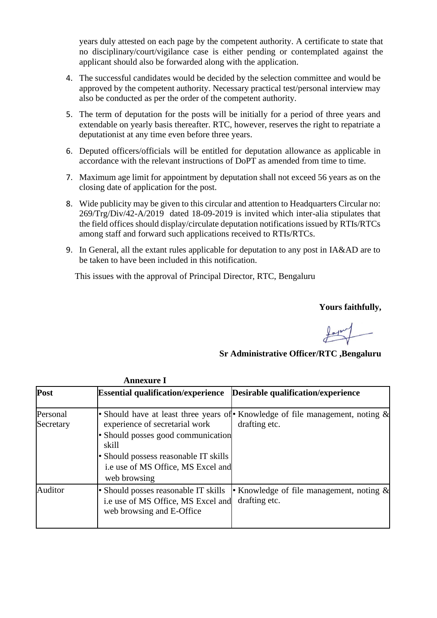years duly attested on each page by the competent authority. A certificate to state that no disciplinary/court/vigilance case is either pending or contemplated against the applicant should also be forwarded along with the application.

- 4. The successful candidates would be decided by the selection committee and would be approved by the competent authority. Necessary practical test/personal interview may also be conducted as per the order of the competent authority.
- 5. The term of deputation for the posts will be initially for a period of three years and extendable on yearly basis thereafter. RTC, however, reserves the right to repatriate a deputationist at any time even before three years.
- 6. Deputed officers/officials will be entitled for deputation allowance as applicable in accordance with the relevant instructions of DoPT as amended from time to time.
- 7. Maximum age limit for appointment by deputation shall not exceed 56 years as on the closing date of application for the post.
- 8. Wide publicity may be given to this circular and attention to Headquarters Circular no: 269/Trg/Div/42-A/2019 dated 18-09-2019 is invited which inter-alia stipulates that the field offices should display/circulate deputation notifications issued by RTIs/RTCs among staff and forward such applications received to RTIs/RTCs.
- 9. In General, all the extant rules applicable for deputation to any post in IA&AD are to be taken to have been included in this notification.

This issues with the approval of Principal Director, RTC, Bengaluru

**Yours faithfully,**

**Sr Administrative Officer/RTC ,Bengaluru**

|                       | <b>Annexure I</b>                                                                                                                                                            |                                                                                               |
|-----------------------|------------------------------------------------------------------------------------------------------------------------------------------------------------------------------|-----------------------------------------------------------------------------------------------|
| Post                  | <b>Essential qualification/experience</b>                                                                                                                                    | Desirable qualification/experience                                                            |
| Personal<br>Secretary | experience of secretarial work<br>• Should posses good communication<br>skill<br>• Should possess reasonable IT skills<br>i.e use of MS Office, MS Excel and<br>web browsing | • Should have at least three years of Knowledge of file management, noting &<br>drafting etc. |
| Auditor               | • Should posses reasonable IT skills<br>i.e use of MS Office, MS Excel and<br>web browsing and E-Office                                                                      | Knowledge of file management, noting $\&$<br>drafting etc.                                    |